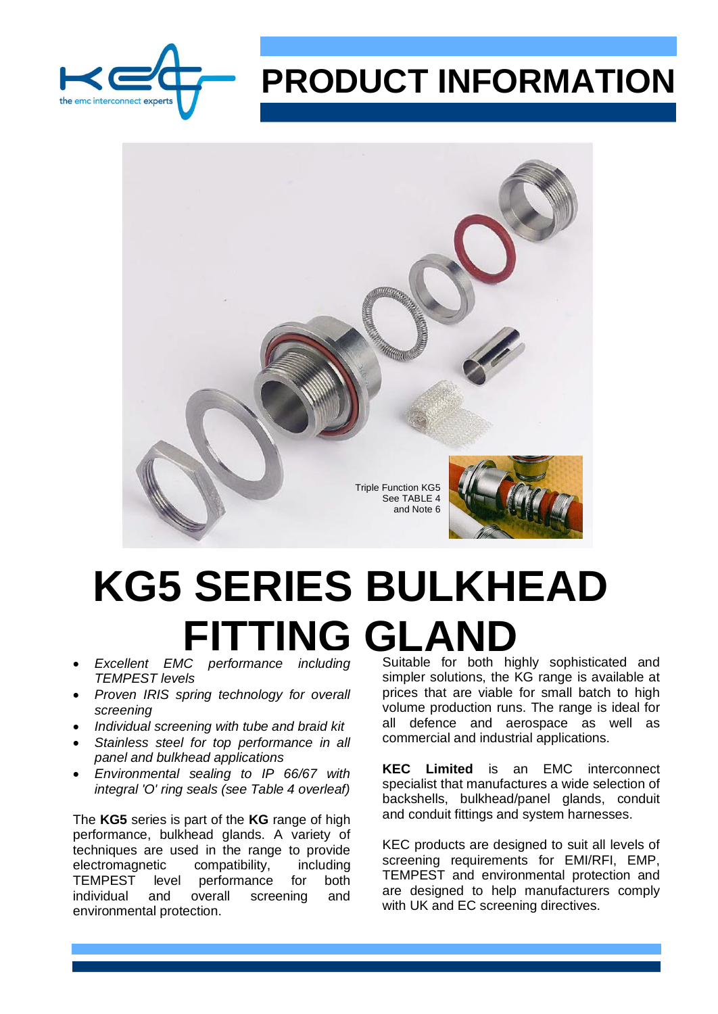

# **PRODUCT INFORMATION**



# **KG5 SERIES BULKHEAD FITTING GLAND**<br>Excellent EMC performance including Suitable for both high

- *TEMPEST levels*
- *Proven IRIS spring technology for overall screening*
- *Individual screening with tube and braid kit*
- *Stainless steel for top performance in all panel and bulkhead applications*
- *Environmental sealing to IP 66/67 with integral 'O' ring seals (see Table 4 overleaf)*

The **KG5** series is part of the **KG** range of high performance, bulkhead glands. A variety of techniques are used in the range to provide electromagnetic compatibility, including<br>TEMPEST level performance for both level performance for both individual and overall screening and environmental protection.

Suitable for both highly sophisticated and simpler solutions, the KG range is available at prices that are viable for small batch to high volume production runs. The range is ideal for all defence and aerospace as well as commercial and industrial applications.

**KEC Limited** is an EMC interconnect specialist that manufactures a wide selection of backshells, bulkhead/panel glands, conduit and conduit fittings and system harnesses.

KEC products are designed to suit all levels of screening requirements for EMI/RFI, EMP, TEMPEST and environmental protection and are designed to help manufacturers comply with UK and EC screening directives.